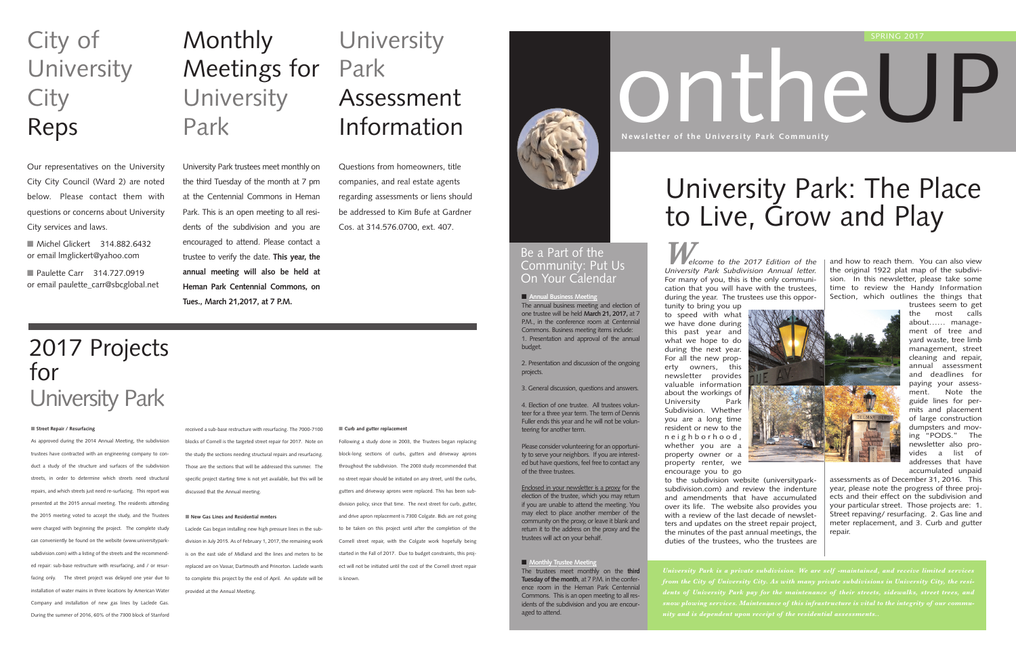*Welcome to the 2017 Edition of the University Park Subdivision Annual letter.* For many of you, this is the only communication that you will have with the trustees, during the year. The trustees use this opportunity to bring you up to speed with what we have done during this past year and what we hope to do during the next year. For all the new property owners, this newsletter provides valuable information about the workings of<br>University Park University Subdivision. Whether you are a long time resident or new to the neighborhood, whether you are a property owner or a property renter, we encourage you to go to the subdivision website (universityparksubdivision.com) and review the indenture and amendments that have accumulated over its life. The website also provides you with a review of the last decade of newsletters and updates on the street repair project, the minutes of the past annual meetings, the duties of the trustees, who the trustees are

and how to reach them. You can also view the original 1922 plat map of the subdivision. In this newsletter, please take some time to review the Handy Information Section, which outlines the things that



*from the City of University City. As with many private subdivisions in University City, the resi-*



■ **Annual Business Meeting** The annual business meeting and election of one trustee will be held **March 21, 2017,** at 7 P.M., in the conference room at Centennial Commons. Business meeting items include: 1. Presentation and approval of the annual budget.

trustees seem to get the most calls about…… management of tree and yard waste, tree limb management, street cleaning and repair, annual assessment and deadlines for paying your assessment. Note the guide lines for permits and placement of large construction dumpsters and moving "PODS." The newsletter also provides a list of addresses that have accumulated unpaid

## **Monthly** Meetings for University Park

assessments as of December 31, 2016. This year, please note the progress of three projects and their effect on the subdivision and your particular street. Those projects are: 1. Street repaving/ resurfacing. 2. Gas line and meter replacement, and 3. Curb and gutter repair.

■ Michel Glickert 314.882.6432 or email lmglickert@yahoo.com

■ Paulette Carr 314.727.0919 or email paulette\_carr@sbcglobal.net

### **University** Park Assessment Information

2. Presentation and discussion of the ongoing projects.

3. General discussion, questions and answers.

4. Election of one trustee. All trustees volunteer for a three year term. The term of Dennis Fuller ends this year and he will not be volunteering for another term.

Please consider volunteering for an opportunity to serve your neighbors. If you are interested but have questions, feel free to contact any of the three trustees.

Enclosed in your newsletter is a proxy for the election of the trustee, which you may return if you are unable to attend the meeting. You may elect to place another member of the community on the proxy, or leave it blank and return it to the address on the proxy and the trustees will act on your behalf.

#### ■ **Monthly Trustee Meeting**

The trustees meet monthly on the **third Tuesday of the month**, at 7 P.M. in the conference room in the Heman Park Centennial Commons. This is an open meeting to all residents of the subdivision and you are encouraged to attend.

# University Park: The Place to Live, Grow and Play

### Be a Part of the Community: Put Us On Your Calendar

University Park trustees meet monthly on the third Tuesday of the month at 7 pm at the Centennial Commons in Heman Park. This is an open meeting to all residents of the subdivision and you are encouraged to attend. Please contact a trustee to verify the date. **This year, the annual meeting will also be held at**

**Heman Park Centennial Commons, on**

**Tues., March 21,2017, at 7 P.M.**

# City of **University City** Reps

Our representatives on the University City City Council (Ward 2) are noted below. Please contact them with questions or concerns about University City services and laws.

Questions from homeowners, title companies, and real estate agents regarding assessments or liens should be addressed to Kim Bufe at Gardner Cos. at 314.576.0700, ext. 407.

### 2017 Projects for University Park

#### ■ **Street Repair / Resurfacing**

As approved during the 2014 Annual Meeting, the subdivision trustees have contracted with an engineering company to conduct a study of the structure and surfaces of the subdivision streets, in order to determine which streets need structural repairs, and which streets just need re-surfacing. This report was presented at the 2015 annual meeting. The residents attending the 2015 meeting voted to accept the study, and the Trustees were charged with beginning the project. The complete study can conveniently be found on the website (www.universityparksubdivision.com) with a listing of the streets and the recommended repair: sub-base restructure with resurfacing, and / or resurfacing only. The street project was delayed one year due to installation of water mains in three locations by American Water Company and installation of new gas lines by Laclede Gas. During the summer of 2016, 60% of the 7300 block of Stanford

### received a sub-base restructure with resurfacing. The 7000-7100 blocks of Cornell is the targeted street repair for 2017. Note on the study the sections needing structural repairs and resurfacing. Those are the sections that will be addressed this summer. The specific project starting time is not yet available, but this will be discussed that the Annual meeting.

#### ■ **New Gas Lines and Residential mmters**

Laclede Gas began installing new high pressure lines in the subdivision in July 2015. As of February 1, 2017, the remaining work is on the east side of Midland and the lines and meters to be replaced are on Vassar, Dartmouth and Princeton. Laclede wants to complete this project by the end of April. An update will be provided at the Annual Meeting.

#### ■ Curb and gutter replacement

Following a study done in 2003, the Trustees began replacing block-long sections of curbs, gutters and driveway aprons throughout the subdivision. The 2003 study recommended that no street repair should be initiated on any street, until the curbs, gutters and driveway aprons were replaced. This has been subdivision policy, since that time. The next street for curb, gutter, and drive apron replacement is 7300 Colgate. Bids are not going to be taken on this project until after the completion of the Cornell street repair, with the Colgate work hopefully being started in the Fall of 2017. Due to budget constraints, this project will not be initiated until the cost of the Cornell street repair is known.